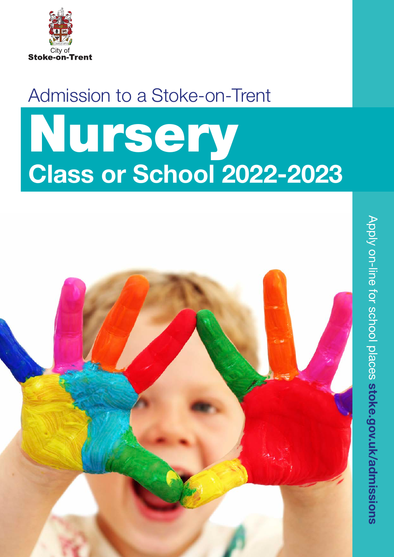

## Admission to a Stoke-on-Trent

## Nursery Class or School 2022-2023

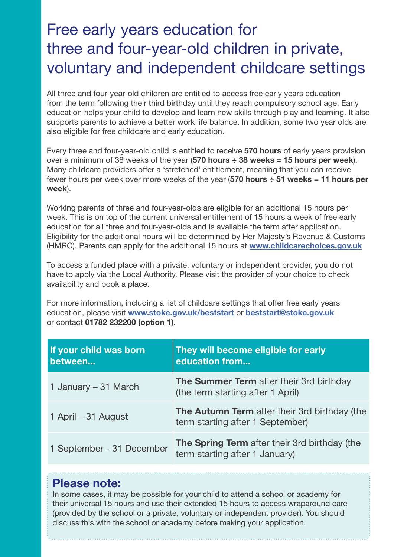## Free early years education for three and four-year-old children in private, voluntary and independent childcare settings

All three and four-year-old children are entitled to access free early years education from the term following their third birthday until they reach compulsory school age. Early education helps your child to develop and learn new skills through play and learning. It also supports parents to achieve a better work life balance. In addition, some two year olds are also eligible for free childcare and early education.

Every three and four-year-old child is entitled to receive 570 hours of early years provision over a minimum of 38 weeks of the year  $(570$  hours  $\div$  38 weeks = 15 hours per week). Many childcare providers offer a 'stretched' entitlement, meaning that you can receive fewer hours per week over more weeks of the year (570 hours  $\div$  51 weeks = 11 hours per week).

Working parents of three and four-year-olds are eligible for an additional 15 hours per week. This is on top of the current universal entitlement of 15 hours a week of free early education for all three and four-year-olds and is available the term after application. Eligibility for the additional hours will be determined by Her Majesty's Revenue & Customs (HMRC). Parents can apply for the additional 15 hours at [www.childcarechoices.gov.uk](https://www.childcarechoices.gov.uk/)

To access a funded place with a private, voluntary or independent provider, you do not have to apply via the Local Authority. Please visit the provider of your choice to check availability and book a place.

For more information, including a list of childcare settings that offer free early years education, please visit [www.stoke.gov.uk/beststart](http://www.stoke.gov.uk/ccm/content/advice/advice-general-folders/family-information/free-early-education-places-for-2-3-4-year-old-children.en) or beststart@stoke.gov.uk or contact 01782 232200 (option 1).

| If your child was born<br>between | They will become eligible for early<br>education from                             |
|-----------------------------------|-----------------------------------------------------------------------------------|
| 1 January – 31 March              | The Summer Term after their 3rd birthday<br>(the term starting after 1 April)     |
| 1 April – 31 August               | The Autumn Term after their 3rd birthday (the<br>term starting after 1 September) |
| 1 September - 31 December         | The Spring Term after their 3rd birthday (the<br>term starting after 1 January)   |

#### Please note:

In some cases, it may be possible for your child to attend a school or academy for their universal 15 hours and use their extended 15 hours to access wraparound care (provided by the school or a private, voluntary or independent provider). You should discuss this with the school or academy before making your application.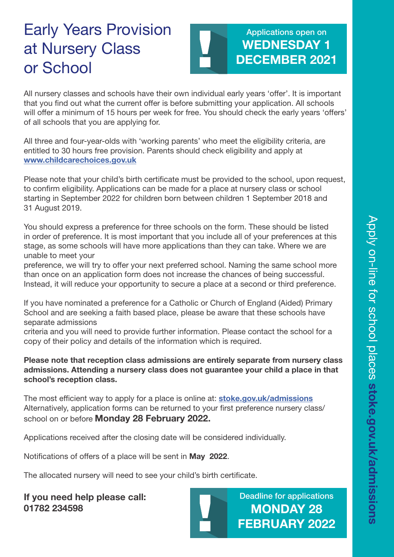## Early Years Provision at Nursery Class or School

#### Applications open on WEDNESDAY 1 DECEMBER 2021

All nursery classes and schools have their own individual early years 'offer'. It is important that you find out what the current offer is before submitting your application. All schools will offer a minimum of 15 hours per week for free. You should check the early years 'offers' of all schools that you are applying for.

All three and four-year-olds with 'working parents' who meet the eligibility criteria, are entitled to 30 hours free provision. Parents should check eligibility and apply at [www.childcarechoices.gov.uk](https://www.childcarechoices.gov.uk/)

Please note that your child's birth certificate must be provided to the school, upon request, to confirm eligibility. Applications can be made for a place at nursery class or school starting in September 2022 for children born between children 1 September 2018 and 31 August 2019.

You should express a preference for three schools on the form. These should be listed in order of preference. It is most important that you include all of your preferences at this stage, as some schools will have more applications than they can take. Where we are unable to meet your

preference, we will try to offer your next preferred school. Naming the same school more than once on an application form does not increase the chances of being successful. Instead, it will reduce your opportunity to secure a place at a second or third preference.

If you have nominated a preference for a Catholic or Church of England (Aided) Primary School and are seeking a faith based place, please be aware that these schools have separate admissions

criteria and you will need to provide further information. Please contact the school for a copy of their policy and details of the information which is required.

#### Please note that reception class admissions are entirely separate from nursery class admissions. Attending a nursery class does not guarantee your child a place in that school's reception class.

The most efficient way to apply for a place is online at: **[stoke.gov.uk/admissions](https://www.stoke.gov.uk/info/20033/school_admissions)** Alternatively, application forms can be returned to your first preference nursery class/ school on or before Monday 28 February 2022.

Applications received after the closing date will be considered individually.

Notifications of offers of a place will be sent in May 2022.

The allocated nursery will need to see your child's birth certificate.

If you need help please call: 01782 234598



Deadline for applications MONDAY 28 FEBRUARY 2022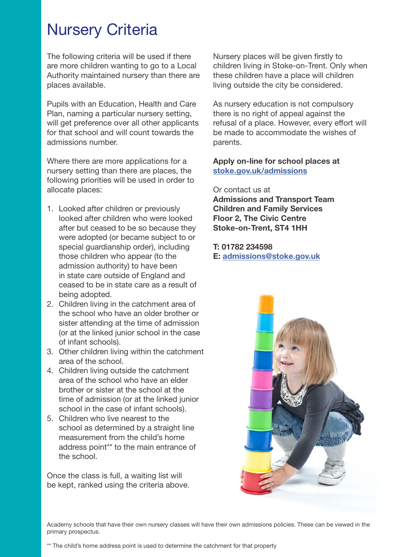### Nursery Criteria

The following criteria will be used if there are more children wanting to go to a Local Authority maintained nursery than there are places available.

Pupils with an Education, Health and Care Plan, naming a particular nursery setting, will get preference over all other applicants for that school and will count towards the admissions number.

Where there are more applications for a nursery setting than there are places, the following priorities will be used in order to allocate places:

- 1. Looked after children or previously looked after children who were looked after but ceased to be so because they were adopted (or became subject to or special guardianship order), including those children who appear (to the admission authority) to have been in state care outside of England and ceased to be in state care as a result of being adopted.
- 2. Children living in the catchment area of the school who have an older brother or sister attending at the time of admission (or at the linked junior school in the case of infant schools).
- 3. Other children living within the catchment area of the school.
- 4. Children living outside the catchment area of the school who have an elder brother or sister at the school at the time of admission (or at the linked junior school in the case of infant schools).
- 5. Children who live nearest to the school as determined by a straight line measurement from the child's home address point\*\* to the main entrance of the school.

Once the class is full, a waiting list will be kept, ranked using the criteria above. Nursery places will be given firstly to children living in Stoke-on-Trent. Only when these children have a place will children living outside the city be considered.

As nursery education is not compulsory there is no right of appeal against the refusal of a place. However, every effort will be made to accommodate the wishes of parents.

#### Apply on-line for school places at [stoke.gov.uk/admissions](http://www.stoke.gov.uk/ccm/navigation/education/admissions/)

Or contact us at Admissions and Transport Team Children and Family Services Floor 2, The Civic Centre Stoke-on-Trent, ST4 1HH

#### T: 01782 234598 E: [admissions@stoke.gov.uk](mailto:admissions%40stoke.gov.uk?subject=)



Academy schools that have their own nursery classes will have their own admissions policies. These can be viewed in the primary prospectus.

<sup>\*\*</sup> The child's home address point is used to determine the catchment for that property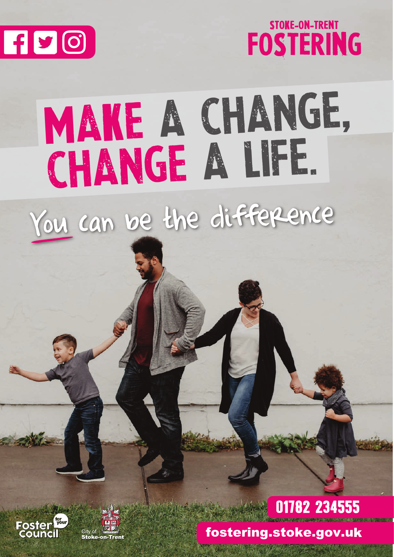



# MAKE A CHANGE, change a life.

You can be the difference





## 01782 234555

fostering.stoke.gov.uk